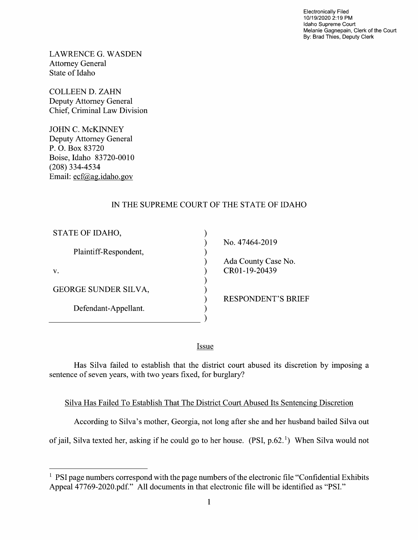Electronically Filed 10/19/2020 2:19 PM Idaho Supreme Court Melanie Gagnepain, Clerk of the Court By: Brad Thies, Deputy Clerk

LAWRENCE G.WASDEN Attorney General State 0f Idaho

COLLEEN D. ZAHN Deputy Attorney General Chief, Criminal Law Division

JOHN C. McKINNEY Deputy Attorney General P. O. Box 83720 Boise, Idaho 83720-00 (208) 334-4534 Email: ecf@ag.idaho.gov

## IN THE SUPREME COURT OF THE STATE OF IDAHO

| STATE OF IDAHO,             |                           |
|-----------------------------|---------------------------|
|                             | No. 47464-2019            |
| Plaintiff-Respondent,       |                           |
|                             | Ada County Case No.       |
| V.                          | CR01-19-20439             |
|                             |                           |
| <b>GEORGE SUNDER SILVA,</b> |                           |
|                             | <b>RESPONDENT'S BRIEF</b> |
| Defendant-Appellant.        |                           |
|                             |                           |

**Issue** 

Has Silva failed to establish that the district court abused its discretion by imposing a sentence of seven years, With two years fixed, for burglary?

## Silva Has Failed To Establish That The District Court Abused Its Sentencing Discretion

According to Silva's mother, Georgia, not long after she and her husband bailed Silva out

of jail, Silva texted her, asking if he could go to her house. (PSI,  $p.62$ .<sup>1</sup>) When Silva would not

 $<sup>1</sup>$  PSI page numbers correspond with the page numbers of the electronic file "Confidential Exhibits"</sup> Appeal 47769-2020.pdf." A11 documents in that electronic file will be identified as "PSI."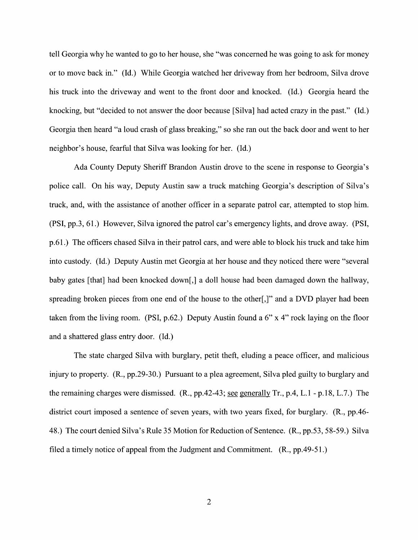tell Georgia why he wanted to go to her house, she "was concerned he was going to ask for money 0r t0 move back in." (Id.) While Georgia watched her driveway from her bedroom, Silva drove his truck into the driveway and went to the front door and knocked. (Id.) Georgia heard the knocking, but "decided to not answer the door because [Silva] had acted crazy in the past." (Id.) Georgia then heard "a loud crash of glass breaking," so she ran out the back door and went to her neighbor's house, fearful that Silva was looking for her. (Id.)

Ada County Deputy Sheriff Brandon Austin drove to the scene in response to Georgia's police call. On his way, Deputy Austin saw a truck matching Georgia's description of Silva's truck, and, With the assistance 0f another officer in separate patrol car, attempted to stop him. (PSI, pp.3, 61 .) However, Silva ignored the patrol car's emergency lights, and drove away. (PSI, p.61.) The officers chased Silva in their patrol cars, and were able to block his truck and take him into custody. (Id.) Deputy Austin met Georgia at her house and they noticed there were "several baby gates [that] had been knocked down[,] a doll house had been damaged down the hallway, spreading broken pieces from one end of the house to the other.  $\vert \cdot \vert$ " and a DVD player had been taken from the living room. (PSI, p.62.) Deputy Austin found a  $6"$  x 4" rock laying on the floor and shattered glass entry door. (Id.)

The state charged Silva with burglary, petit theft, eluding a peace officer, and malicious injury to property. (R., pp.29-30.) Pursuant to a plea agreement, Silva pled guilty to burglary and the remaining charges were dismissed.  $(R, pp.42-43; \underline{see}$  generally  $Tr, p.4, L.1 - p.18, L.7.)$  The district court imposed a sentence 0f seven years, with two years fixed, for burglary. (R., pp.46- 48.) The court denied Silva's Rule 35 Motion for Reduction of Sentence. (R., pp.53, 58-59.) Silva filed a timely notice of appeal from the Judgment and Commitment.  $(R., pp.49-51.)$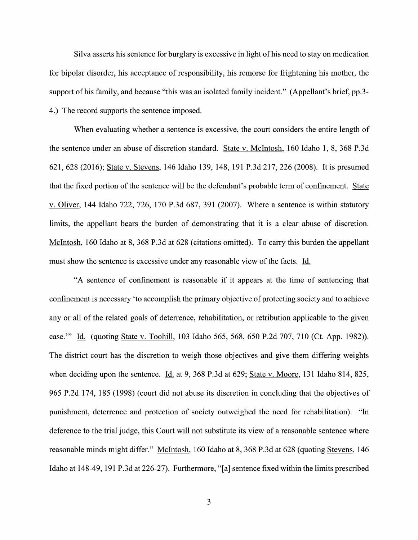Silva asserts his sentence for burglary is excessive in light of his need to stay on medication for bipolar disorder, his acceptance 0f responsibility, his remorse for frightening his mother, the support of his family, and because "this was an isolated family incident." (Appellant's brief, pp.3-4.) The record supports the sentence imposed.

When evaluating whether a sentence is excessive, the court considers the entire length of the sentence under an abuse 0f discretion standard. State V. McIntosh, 160 Idaho 1, 8, 368 P.3d 621, 628 (2016); State V. Stevens, 146 Idaho 139, 148, 191 P.3d 217, 226 (2008). It is presumed that the fixed portion of the sentence will be the defendant's probable term of confinement. State v. Oliver, 144 Idaho 722, 726, 170 P.3d 687, 391 (2007). Where a sentence is within statutory limits, the appellant bears the burden of demonstrating that it is a clear abuse of discretion. McIntosh, 160 Idaho at 8, 368 P.3d at 628 (citations omitted). To carry this burden the appellant must show the sentence is excessive under any reasonable view of the facts. Id.

"A sentence of confinement is reasonable if it appears at the time of sentencing that confinement is necessary 'to accomplish the primary objective of protecting society and to achieve any or all of the related goals of deterrence, rehabilitation, or retribution applicable to the given case." Id. (quoting State v. Toohill, 103 Idaho 565, 568, 650 P.2d 707, 710 (Ct. App. 1982)). The district court has the discretion to weigh those objectives and give them differing weights when deciding upon the sentence. Id. at 9, 368 P.3d at 629; State v. Moore, 131 Idaho 814, 825, 965 P.2d 174, 185 (1998) (court did not abuse its discretion in concluding that the objectives 0f punishment, deterrence and protection of society outweighed the need for rehabilitation). "In deference to the trial judge, this Court will not substitute its view of a reasonable sentence where reasonable minds might differ." McIntosh, 160 Idaho at 8, 368 P.3d at 628 (quoting Stevens, 146 Idaho at 148-49, 191 P.3d at 226-27). Furthermore, "[a] sentence fixed Within the limits prescribed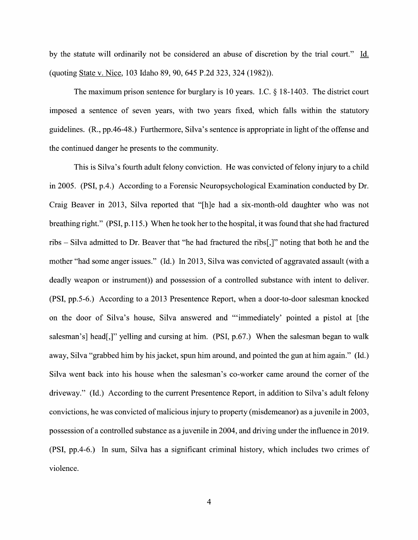by the statute will ordinarily not be considered an abuse of discretion by the trial court." Id. (quoting State V. Nice, 103 Idaho 89, 90, 645 P.2d 323, 324 (1982)).

The maximum prison sentence for burglary is 10 years. I.C.  $\S$  18-1403. The district court imposed a sentence of seven years, with two years fixed, which falls within the statutory guidelines. (R., pp.46-48.) Furthermore, Silva's sentence is appropriate in light of the offense and the continued danger he presents to the community.

This is Silva's fourth adult felony conviction. He was convicted of felony injury to a child in 2005. (PSI, p.4.) According to a Forensic Neuropsychological Examination conducted by Dr. Craig Beaver in 2013, Silva reported that "[h]e had siX-month-old daughter Who was not breathing right." (PSI, p.1 15.) When he took her to the hospital, it was found that she had fractured ribs  $-$  Silva admitted to Dr. Beaver that "he had fractured the ribs[,]" noting that both he and the mother "had some anger issues." (Id.) In 2013, Silva was convicted of aggravated assault (with a deadly weapon or instrument)) and possession of a controlled substance with intent to deliver. (PSI, pp.5-6.) According to a 2013 Presentence Report, when a door-to-door salesman knocked on the door of Silva's house, Silva answered and ""immediately' pointed a pistol at [the salesman's] head[,]" yelling and cursing at him. (PSI,  $p.67$ .) When the salesman began to walk away, Silva "grabbed him by his jacket, spun him around, and pointed the gun at him again." (Id.) Silva went back into his house when the salesman's co-worker came around the corner of the driveway." (Id.) According to the current Presentence Report, in addition to Silva's adult felony convictions, he was convicted of malicious injury to property (misdemeanor) as a juvenile in 2003, possession of a controlled substance as a juvenile in 2004, and driving under the influence in 2019. (PSI, pp.4-6.) In sum, Silva has a significant criminal history, which includes two crimes of Violence.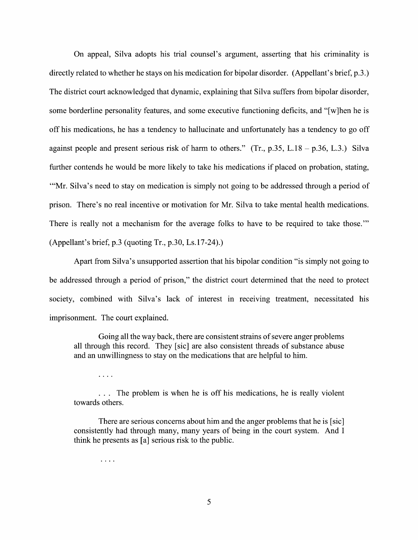On appeal, Silva adopts his trial counsel's argument, asserting that his criminality is directly related to whether he stays on his medication for bipolar disorder. (Appellant's brief, p.3.) The district court acknowledged that dynamic, explaining that Silva suffers from bipolar disorder, some borderline personality features, and some executive functioning deficits, and "[w]hen he is off his medications, he has a tendency to hallucinate and unfortunately has a tendency to go off against people and present serious risk of harm to others." (Tr., p.35, L.18 – p.36, L.3.) Silva further contends he would be more likely to take his medications if placed on probation, stating, "Mr. Silva's need to stay on medication is simply not going to be addressed through a period of prison. There's no real incentive or motivation for Mr. Silva to take mental health medications. There is really not a mechanism for the average folks to have to be required to take those." (Appellant's brief, p.3 (quoting Tr., p.30, Ls.17-24).)

Apart from Silva's unsupported assertion that his bipolar condition "is simply not going to be addressed through a period of prison," the district court determined that the need to protect society, combined with Silva's lack of interest in receiving treatment, necessitated his imprisonment. The court explained.

Going all the way back, there are consistent strains of severe anger problems all through this record. They [sic] are also consistent threads 0f substance abuse and an unwillingness to stay on the medications that are helpful to him.

 $\cdots$ 

... The problem is when he is off his medications, he is really violent towards others.

There are serious concerns about him and the anger problems that he is [sic] consistently had through many, many years of being in the court system. And I think he presents as [a] serious risk to the public.

 $\ldots$  .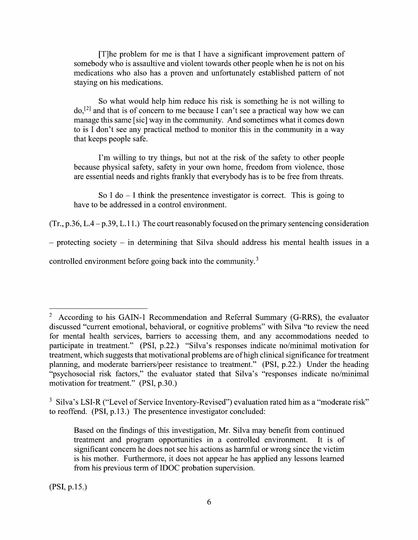$[T]$ he problem for me is that I have a significant improvement pattern of somebody Who is assaultive and Violent towards other people when he is not on his medications who also has a proven and unfortunately established pattern of not staying on his medications.

So What would help him reduce his risk is something he is not Willing to  $do<sub>1</sub><sup>[2]</sup>$  and that is of concern to me because I can't see a practical way how we can manage this same [sic] way in the community. And sometimes What it comes down to is I don't see any practical method to monitor this in the community in a way that keeps people safe.

I'm willing to try things, but not at the risk of the safety to other people because physical safety, safety in your own home, freedom from violence, those are essential needs and rights frankly that everybody has is t0 be free from threats.

So I do  $-$  I think the presentence investigator is correct. This is going to have to be addressed in a control environment.

 $(Tr, p.36, L.4 - p.39, L.11.)$  The court reasonably focused on the primary sentencing consideration

- protecting society - in determining that Silva should address his mental health issues in a

controlled environment before going back into the community.<sup>3</sup>

<sup>&</sup>lt;sup>2</sup> According to his GAIN-1 Recommendation and Referral Summary (G-RRS), the evaluator discussed "current emotional, behavioral, 0r cognitive problems" with Silva "to review the need for mental health services, barriers to accessing them, and any accommodations needed to participate in treatment." (PSI, p.22.) "Silva's responses indicate no/minimal motivation for treatment, which suggests that motivational problems are ofhigh clinical significance for treatment planning, and moderate barriers/peer resistance to treatment." (PSI, p.22.) Under the heading "psychosocial risk factors," the evaluator stated that Silva's "responses indicate no/minimal motivation for treatment." (PSI, p.30.)

<sup>&</sup>lt;sup>3</sup> Silva's LSI-R ("Level of Service Inventory-Revised") evaluation rated him as a "moderate risk" to reoffend. (PSI, p.13.) The presentence investigator concluded:

Based on the findings of this investigation, Mr. Silva may benefit from continued treatment and program opportunities in a controlled environment. It is of treatment and program opportunities in a controlled environment. significant concern he does not see his actions as harmful or wrong since the victim is his mother. Furthermore, it does not appear he has applied any lessons learned from his previous term of IDOC probation supervision.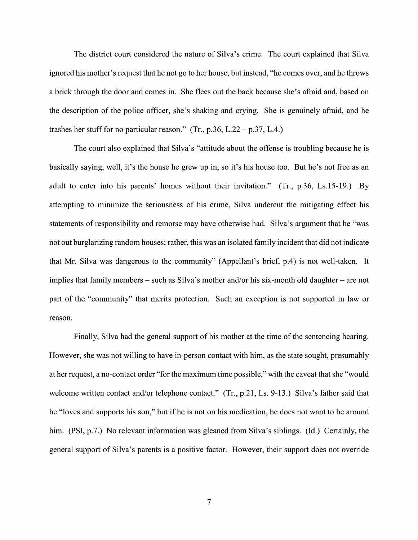The district court considered the nature of Silva's crime. The court explained that Silva ignored his mother's request that he not g0 to her house, but instead, "he comes over, and he throws brick through the door and comes in. She flees out the back because she's afraid and, based 0n the description of the police officer, she's shaking and crying. She is genuinely afraid, and he trashes her stuff for no particular reason." (Tr., p.36, L.22 – p.37, L.4.)

The court also explained that Silva's "attitude about the offense is troubling because he is basically saying, well, it's the house he grew up in, so it's his house too. But he's not free as an adult to enter into his parents' homes without their invitation." (Tr., p.36, Ls.15-19.) By attempting to minimize the seriousness of his crime, Silva undercut the mitigating effect his statements of responsibility and remorse may have otherwise had. Silva's argument that he "was not out burglarizing random houses; rather, this was an isolated family incident that did not indicate that Mr. Silva was dangerous to the community" (Appellant's brief, p.4) is not well-taken. It implies that family members  $-$  such as Silva's mother and/or his six-month old daughter  $-$  are not part of the "community" that merits protection. Such an exception is not supported in law or reason.

Finally, Silva had the general support of his mother at the time of the sentencing hearing. However, she was not willing to have in-person contact with him, as the state sought, presumably at her request, a no-contact order "for the maximum time possible," with the caveat that she "would welcome written contact and/or telephone contact." (Tr., p.21, Ls. 9-13.) Silva's father said that he "loves and supports his son," but if he is not 0n his medication, he does not want to be around him. (PSI, p.7.) No relevant information was gleaned from Silva's siblings. (Id.) Certainly, the general support of Silva's parents is a positive factor. However, their support does not override